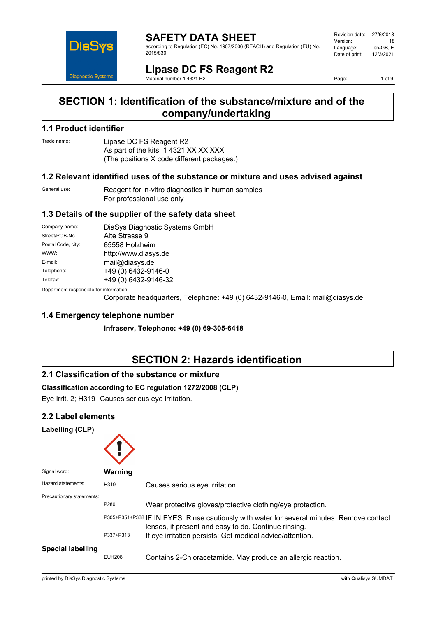

according to Regulation (EC) No. 1907/2006 (REACH) and Regulation (EU) No. 2015/830

| Revision date: | 27/6/2018 |
|----------------|-----------|
| Version:       | 18        |
| Language:      | en-GB.IE  |
| Date of print: | 12/3/2021 |
|                |           |

**Lipase DC FS Reagent R2** Material number 1 4321 R2

Page: 1 of 9

## **SECTION 1: Identification of the substance/mixture and of the company/undertaking**

### **1.1 Product identifier**

Trade name: Lipase DC FS Reagent R2 As part of the kits: 1 4321 XX XX XXX (The positions X code different packages.)

### **1.2 Relevant identified uses of the substance or mixture and uses advised against**

General use: Reagent for in-vitro diagnostics in human samples For professional use only

### **1.3 Details of the supplier of the safety data sheet**

| Company name:                           | DiaSys Diagnostic Systems GmbH |  |
|-----------------------------------------|--------------------------------|--|
| Street/POB-No.:                         | Alte Strasse 9                 |  |
| Postal Code, city:                      | 65558 Holzheim                 |  |
| WWW:                                    | http://www.diasys.de           |  |
| E-mail:                                 | mail@diasys.de                 |  |
| Telephone:                              | +49 (0) 6432-9146-0            |  |
| Telefax:                                | +49 (0) 6432-9146-32           |  |
| Department responsible for information: |                                |  |

epartment responsible

Corporate headquarters, Telephone: +49 (0) 6432-9146-0, Email: mail@diasys.de

## **1.4 Emergency telephone number**

**Infraserv, Telephone: +49 (0) 69-305-6418**

# **SECTION 2: Hazards identification**

## **2.1 Classification of the substance or mixture**

### **Classification according to EC regulation 1272/2008 (CLP)**

Eye Irrit. 2; H319 Causes serious eye irritation.

### **2.2 Label elements**

#### **Labelling (CLP)**

| Signal word:              | Warning       |                                                                                                                                                    |
|---------------------------|---------------|----------------------------------------------------------------------------------------------------------------------------------------------------|
| Hazard statements:        | H319          | Causes serious eye irritation.                                                                                                                     |
| Precautionary statements: | P280          | Wear protective gloves/protective clothing/eye protection.                                                                                         |
|                           |               | P305+P351+P338 IF IN EYES: Rinse cautiously with water for several minutes. Remove contact<br>lenses, if present and easy to do. Continue rinsing. |
|                           | P337+P313     | If eye irritation persists: Get medical advice/attention.                                                                                          |
| <b>Special labelling</b>  | <b>EUH208</b> | Contains 2-Chloracetamide. May produce an allergic reaction.                                                                                       |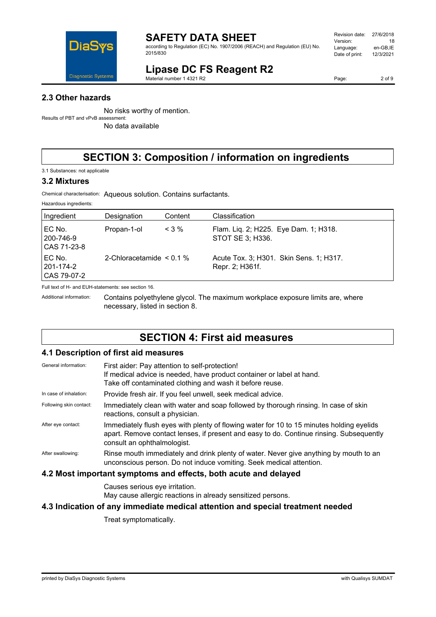

according to Regulation (EC) No. 1907/2006 (REACH) and Regulation (EU) No. 2015/830

| Revision date: | 27/6/2018 |
|----------------|-----------|
| Version:       | 18        |
| Language:      | en-GB.IE  |
| Date of print: | 12/3/2021 |
|                |           |

# **Lipase DC FS Reagent R2**

Material number 1 4321 R2

Page: 2 of 9

### **2.3 Other hazards**

No risks worthy of mention. Results of PBT and vPvB assessment:

No data available

# **SECTION 3: Composition / information on ingredients**

3.1 Substances: not applicable

#### **3.2 Mixtures**

Chemical characterisation: Aqueous solution. Contains surfactants.

| Hazardous ingredients:             |                               |         |                                                            |
|------------------------------------|-------------------------------|---------|------------------------------------------------------------|
| Ingredient                         | Designation                   | Content | Classification                                             |
| EC No.<br>200-746-9<br>CAS 71-23-8 | Propan-1-ol                   | $<$ 3 % | Flam. Lig. 2; H225. Eye Dam. 1; H318.<br>STOT SE 3; H336.  |
| EC No.<br>201-174-2<br>CAS 79-07-2 | 2-Chloracetamide $\leq 0.1\%$ |         | Acute Tox. 3; H301. Skin Sens. 1; H317.<br>Repr. 2; H361f. |

Full text of H- and EUH-statements: see section 16.

Additional information: Contains polyethylene glycol. The maximum workplace exposure limits are, where necessary, listed in section 8.

# **SECTION 4: First aid measures**

### **4.1 Description of first aid measures**

| General information:    | First aider: Pay attention to self-protection!<br>If medical advice is needed, have product container or label at hand.<br>Take off contaminated clothing and wash it before reuse.                                |
|-------------------------|--------------------------------------------------------------------------------------------------------------------------------------------------------------------------------------------------------------------|
| In case of inhalation:  | Provide fresh air. If you feel unwell, seek medical advice.                                                                                                                                                        |
| Following skin contact: | Immediately clean with water and soap followed by thorough rinsing. In case of skin<br>reactions, consult a physician.                                                                                             |
| After eye contact:      | Immediately flush eyes with plenty of flowing water for 10 to 15 minutes holding eyelids<br>apart. Remove contact lenses, if present and easy to do. Continue rinsing. Subsequently<br>consult an ophthalmologist. |
| After swallowing:       | Rinse mouth immediately and drink plenty of water. Never give anything by mouth to an<br>unconscious person. Do not induce vomiting. Seek medical attention.                                                       |
|                         | 4.2 Most important symptoms and effects, both acute and delayed                                                                                                                                                    |

Causes serious eye irritation. May cause allergic reactions in already sensitized persons.

#### **4.3 Indication of any immediate medical attention and special treatment needed**

Treat symptomatically.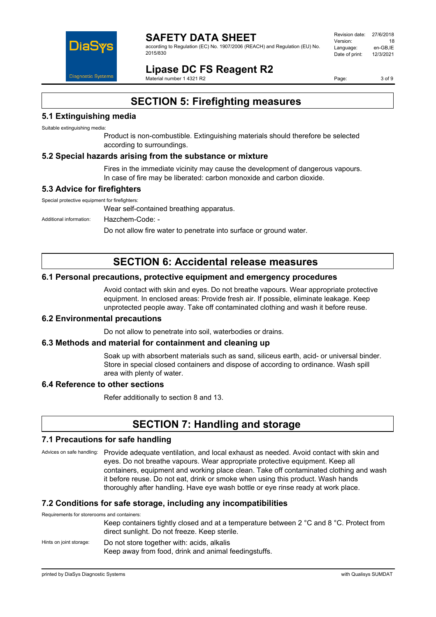

according to Regulation (EC) No. 1907/2006 (REACH) and Regulation (EU) No. 2015/830

| Revision date: | 27/6/2018 |
|----------------|-----------|
| Version:       | 18        |
| Language:      | en-GB.IE  |
| Date of print: | 12/3/2021 |
|                |           |

**Lipase DC FS Reagent R2**

Material number 1 4321 R2

Page: 3 of 9

## **SECTION 5: Firefighting measures**

### **5.1 Extinguishing media**

Suitable extinguishing media:

Product is non-combustible. Extinguishing materials should therefore be selected according to surroundings.

### **5.2 Special hazards arising from the substance or mixture**

Fires in the immediate vicinity may cause the development of dangerous vapours. In case of fire may be liberated: carbon monoxide and carbon dioxide.

### **5.3 Advice for firefighters**

Special protective equipment for firefighters:

Wear self-contained breathing apparatus.

Additional information: Hazchem-Code: -

Do not allow fire water to penetrate into surface or ground water.

## **SECTION 6: Accidental release measures**

### **6.1 Personal precautions, protective equipment and emergency procedures**

Avoid contact with skin and eyes. Do not breathe vapours. Wear appropriate protective equipment. In enclosed areas: Provide fresh air. If possible, eliminate leakage. Keep unprotected people away. Take off contaminated clothing and wash it before reuse.

#### **6.2 Environmental precautions**

Do not allow to penetrate into soil, waterbodies or drains.

#### **6.3 Methods and material for containment and cleaning up**

Soak up with absorbent materials such as sand, siliceus earth, acid- or universal binder. Store in special closed containers and dispose of according to ordinance. Wash spill area with plenty of water.

### **6.4 Reference to other sections**

Refer additionally to section 8 and 13.

## **SECTION 7: Handling and storage**

#### **7.1 Precautions for safe handling**

Advices on safe handling: Provide adequate ventilation, and local exhaust as needed. Avoid contact with skin and eyes. Do not breathe vapours. Wear appropriate protective equipment. Keep all containers, equipment and working place clean. Take off contaminated clothing and wash it before reuse. Do not eat, drink or smoke when using this product. Wash hands thoroughly after handling. Have eye wash bottle or eye rinse ready at work place.

#### **7.2 Conditions for safe storage, including any incompatibilities**

Requirements for storerooms and containers:

Keep containers tightly closed and at a temperature between 2 °C and 8 °C. Protect from direct sunlight. Do not freeze. Keep sterile.

Hints on joint storage: Do not store together with: acids, alkalis Keep away from food, drink and animal feedingstuffs.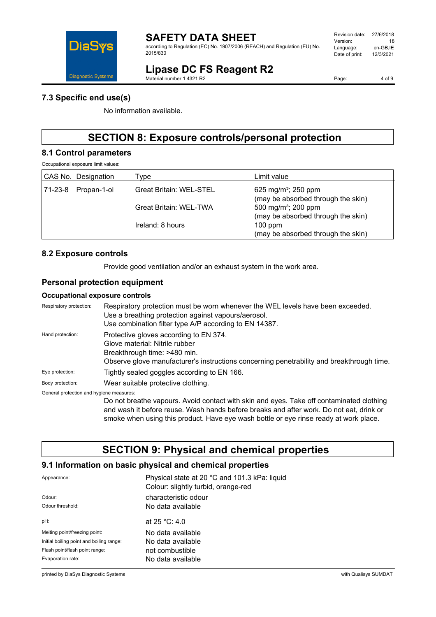

according to Regulation (EC) No. 1907/2006 (REACH) and Regulation (EU) No. 2015/830

#### Revision date: 27/6/2018 Version: 18 Language: en-GB,IE<br>Date of print: 12/3/2021 Date of print:

# **Lipase DC FS Reagent R2**

Material number 1 4321 R2

Page: 4 of 9

### **7.3 Specific end use(s)**

No information available.

# **SECTION 8: Exposure controls/personal protection**

#### **8.1 Control parameters**

Occupational exposure limit values:

|         | CAS No. Designation | Type                           | Limit value                                                           |
|---------|---------------------|--------------------------------|-----------------------------------------------------------------------|
| 71-23-8 | Propan-1-ol         | <b>Great Britain: WEL-STEL</b> | 625 mg/m <sup>3</sup> ; 250 ppm<br>(may be absorbed through the skin) |
|         |                     | <b>Great Britain: WEL-TWA</b>  | 500 mg/m <sup>3</sup> ; 200 ppm<br>(may be absorbed through the skin) |
|         |                     | Ireland: 8 hours               | $100$ ppm<br>(may be absorbed through the skin)                       |

### **8.2 Exposure controls**

Provide good ventilation and/or an exhaust system in the work area.

### **Personal protection equipment**

#### **Occupational exposure controls**

| Respiratory protection:                  | Respiratory protection must be worn whenever the WEL levels have been exceeded.<br>Use a breathing protection against vapours/aerosol.<br>Use combination filter type A/P according to EN 14387.      |
|------------------------------------------|-------------------------------------------------------------------------------------------------------------------------------------------------------------------------------------------------------|
| Hand protection:                         | Protective gloves according to EN 374.<br>Glove material: Nitrile rubber<br>Breakthrough time: >480 min.<br>Observe glove manufacturer's instructions concerning penetrability and breakthrough time. |
| Eye protection:                          | Tightly sealed goggles according to EN 166.                                                                                                                                                           |
| Body protection:                         | Wear suitable protective clothing.                                                                                                                                                                    |
| General protection and hygiene measures: |                                                                                                                                                                                                       |

Do not breathe vapours. Avoid contact with skin and eyes. Take off contaminated clothing and wash it before reuse. Wash hands before breaks and after work. Do not eat, drink or smoke when using this product. Have eye wash bottle or eye rinse ready at work place.

# **SECTION 9: Physical and chemical properties**

### **9.1 Information on basic physical and chemical properties**

| Appearance:                              | Physical state at 20 °C and 101.3 kPa: liquid<br>Colour: slightly turbid, orange-red |
|------------------------------------------|--------------------------------------------------------------------------------------|
| Odour:                                   | characteristic odour                                                                 |
| Odour threshold:                         | No data available                                                                    |
| pH:                                      | at $25 °C$ : 4.0                                                                     |
| Melting point/freezing point:            | No data available                                                                    |
| Initial boiling point and boiling range: | No data available                                                                    |
| Flash point/flash point range:           | not combustible                                                                      |
| Evaporation rate:                        | No data available                                                                    |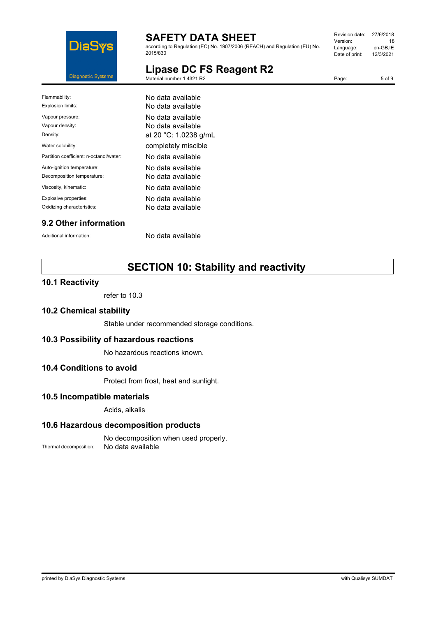

according to Regulation (EC) No. 1907/2006 (REACH) and Regulation (EU) No. 2015/830

| Revision date: | 27/6/2018 |
|----------------|-----------|
| Version:       | 18        |
| Language:      | en-GB.IE  |
| Date of print: | 12/3/2021 |
|                |           |

Page: 5 of 9

# **Lipase DC FS Reagent R2**

Material number 1 4321 R2

Flammability: No data available Explosion limits: No data available Vapour pressure: No data available Vapour density: Vapour density: Density: **Density: at 20 °C: 1.0238 g/mL** Water solubility: **Example 19 You are in the completely miscible** Partition coefficient: n-octanol/water: No data available Auto-ignition temperature: No data available Decomposition temperature: No data available Viscosity, kinematic: No data available Explosive properties: No data available Oxidizing characteristics: No data available

## **9.2 Other information**

Additional information: No data available

# **SECTION 10: Stability and reactivity**

#### **10.1 Reactivity**

refer to 10.3

#### **10.2 Chemical stability**

Stable under recommended storage conditions.

#### **10.3 Possibility of hazardous reactions**

No hazardous reactions known.

#### **10.4 Conditions to avoid**

Protect from frost, heat and sunlight.

### **10.5 Incompatible materials**

Acids, alkalis

#### **10.6 Hazardous decomposition products**

No decomposition when used properly. Thermal decomposition: No data available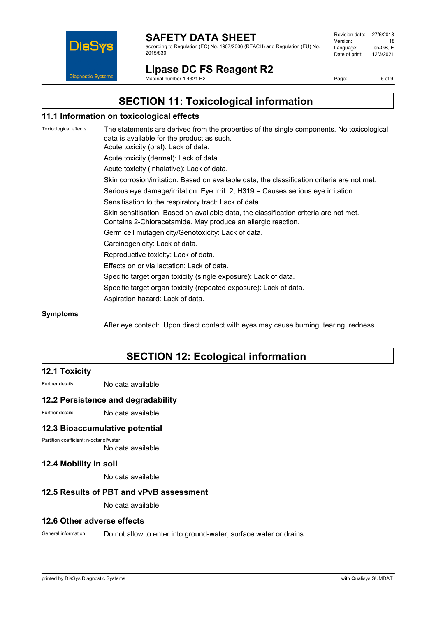

according to Regulation (EC) No. 1907/2006 (REACH) and Regulation (EU) No. 2015/830

| Revision date: | 27/6/2018 |
|----------------|-----------|
| Version:       | 18        |
| Language:      | en-GB,IE  |
|                | 12/3/2021 |
| Date of print: |           |
|                |           |

**Lipase DC FS Reagent R2**

Material number 1 4321 R2

Page: 6 of 9

# **SECTION 11: Toxicological information**

### **11.1 Information on toxicological effects**

Toxicological effects: The statements are derived from the properties of the single components. No toxicological data is available for the product as such. Acute toxicity (oral): Lack of data. Acute toxicity (dermal): Lack of data. Acute toxicity (inhalative): Lack of data. Skin corrosion/irritation: Based on available data, the classification criteria are not met. Serious eye damage/irritation: Eye Irrit. 2; H319 = Causes serious eye irritation. Sensitisation to the respiratory tract: Lack of data. Skin sensitisation: Based on available data, the classification criteria are not met. Contains 2-Chloracetamide. May produce an allergic reaction. Germ cell mutagenicity/Genotoxicity: Lack of data. Carcinogenicity: Lack of data. Reproductive toxicity: Lack of data. Effects on or via lactation: Lack of data. Specific target organ toxicity (single exposure): Lack of data. Specific target organ toxicity (repeated exposure): Lack of data. Aspiration hazard: Lack of data.

#### **Symptoms**

After eye contact: Upon direct contact with eyes may cause burning, tearing, redness.

# **SECTION 12: Ecological information**

#### **12.1 Toxicity**

Further details: No data available

#### **12.2 Persistence and degradability**

Further details: No data available

#### **12.3 Bioaccumulative potential**

Partition coefficient: n-octanol/water:

No data available

#### **12.4 Mobility in soil**

No data available

#### **12.5 Results of PBT and vPvB assessment**

No data available

#### **12.6 Other adverse effects**

General information: Do not allow to enter into ground-water, surface water or drains.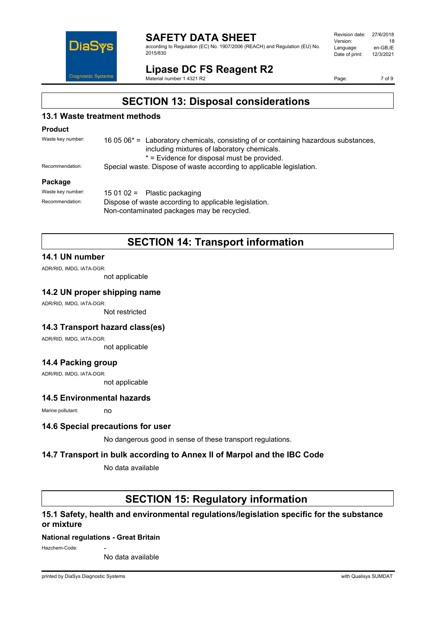

according to Regulation (EC) No. 1907/2006 (REACH) and Regulation (EU) No. 2015/830

| Revision date: | 27/6/2018 |
|----------------|-----------|
| Version:       | 18        |
| Language:      | en-GB.IE  |
| Date of print: | 12/3/2021 |
|                |           |

## **Lipase DC FS Reagent R2**

Material number 1 4321 R2

Page: 7 of 9

## **SECTION 13: Disposal considerations**

### **13.1 Waste treatment methods**

#### **Product**

| Waste key number:                              | 16 05 $06^*$ = Laboratory chemicals, consisting of or containing hazardous substances, |
|------------------------------------------------|----------------------------------------------------------------------------------------|
|                                                | including mixtures of laboratory chemicals.                                            |
|                                                | * = Evidence for disposal must be provided.                                            |
| Recommendation:                                | Special waste. Dispose of waste according to applicable legislation.                   |
| $\mathbf{B}$ and $\mathbf{B}$ and $\mathbf{B}$ |                                                                                        |

#### **Package**

| Waste kev number: | 15 01 02 = Plastic packaging                                                                        |  |
|-------------------|-----------------------------------------------------------------------------------------------------|--|
| Recommendation:   | Dispose of waste according to applicable legislation.<br>Non-contaminated packages may be recycled. |  |
|                   |                                                                                                     |  |

## **SECTION 14: Transport information**

### **14.1 UN number**

ADR/RID, IMDG, IATA-DGR:

not applicable

#### **14.2 UN proper shipping name**

ADR/RID, IMDG, IATA-DGR:

Not restricted

#### **14.3 Transport hazard class(es)**

ADR/RID, IMDG, IATA-DGR:

not applicable

#### **14.4 Packing group**

ADR/RID, IMDG, IATA-DGR:

not applicable

## **14.5 Environmental hazards**

Marine pollutant: no

#### **14.6 Special precautions for user**

No dangerous good in sense of these transport regulations.

#### **14.7 Transport in bulk according to Annex II of Marpol and the IBC Code**

No data available

## **SECTION 15: Regulatory information**

### **15.1 Safety, health and environmental regulations/legislation specific for the substance or mixture**

#### **National regulations - Great Britain**

Hazchem-Code:

No data available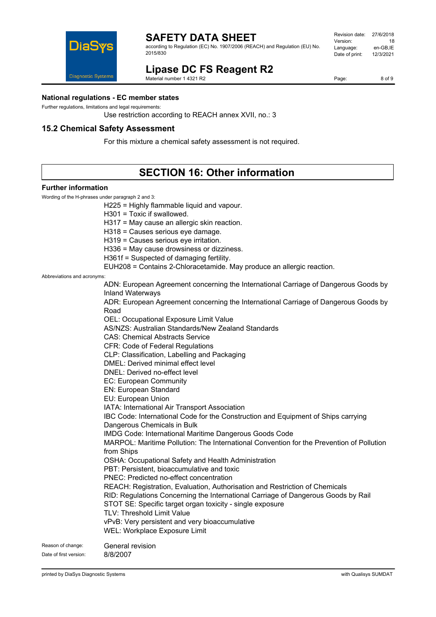

according to Regulation (EC) No. 1907/2006 (REACH) and Regulation (EU) No. 2015/830



# **Lipase DC FS Reagent R2**

Material number 1 4321 R2

H225 = Highly flammable liquid and vapour.

Page: 8 of 9

#### **National regulations - EC member states**

Further regulations, limitations and legal requirements:

Use restriction according to REACH annex XVII, no.: 3

### **15.2 Chemical Safety Assessment**

For this mixture a chemical safety assessment is not required.

# **SECTION 16: Other information**

#### **Further information**

Wording of the H-phrases under paragraph 2 and 3:

H301 = Toxic if swallowed. H317 = May cause an allergic skin reaction. H318 = Causes serious eye damage. H319 = Causes serious eye irritation. H336 = May cause drowsiness or dizziness. H361f = Suspected of damaging fertility. EUH208 = Contains 2-Chloracetamide. May produce an allergic reaction. Abbreviations and acronyms: ADN: European Agreement concerning the International Carriage of Dangerous Goods by Inland Waterways ADR: European Agreement concerning the International Carriage of Dangerous Goods by Road OEL: Occupational Exposure Limit Value AS/NZS: Australian Standards/New Zealand Standards CAS: Chemical Abstracts Service CFR: Code of Federal Regulations CLP: Classification, Labelling and Packaging DMEL: Derived minimal effect level DNEL: Derived no-effect level EC: European Community

EN: European Standard

EU: European Union

IATA: International Air Transport Association

IBC Code: International Code for the Construction and Equipment of Ships carrying Dangerous Chemicals in Bulk

IMDG Code: International Maritime Dangerous Goods Code

MARPOL: Maritime Pollution: The International Convention for the Prevention of Pollution from Ships

OSHA: Occupational Safety and Health Administration

PBT: Persistent, bioaccumulative and toxic

PNEC: Predicted no-effect concentration

REACH: Registration, Evaluation, Authorisation and Restriction of Chemicals

RID: Regulations Concerning the International Carriage of Dangerous Goods by Rail STOT SE: Specific target organ toxicity - single exposure

TLV: Threshold Limit Value

vPvB: Very persistent and very bioaccumulative

WEL: Workplace Exposure Limit

Reason of change: General revision Date of first version: 8/8/2007

printed by DiaSys Diagnostic Systems with Qualisys SUMDAT